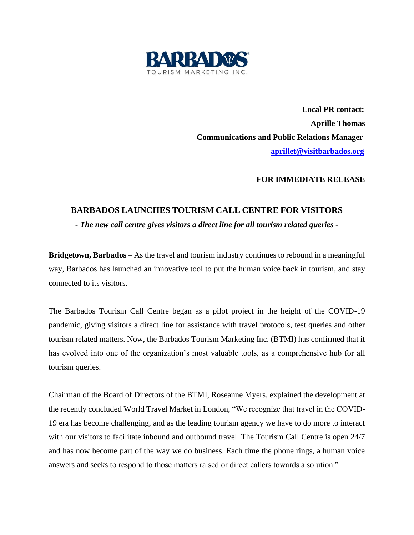

 **Local PR contact: Aprille Thomas Communications and Public Relations Manager [aprillet@visitbarbados.org](mailto:aprillet@visitbarbados.org)**

## **FOR IMMEDIATE RELEASE**

## **BARBADOS LAUNCHES TOURISM CALL CENTRE FOR VISITORS**

*- The new call centre gives visitors a direct line for all tourism related queries -*

**Bridgetown, Barbados** – As the travel and tourism industry continues to rebound in a meaningful way, Barbados has launched an innovative tool to put the human voice back in tourism, and stay connected to its visitors.

The Barbados Tourism Call Centre began as a pilot project in the height of the COVID-19 pandemic, giving visitors a direct line for assistance with travel protocols, test queries and other tourism related matters. Now, the Barbados Tourism Marketing Inc. (BTMI) has confirmed that it has evolved into one of the organization's most valuable tools, as a comprehensive hub for all tourism queries.

Chairman of the Board of Directors of the BTMI, Roseanne Myers, explained the development at the recently concluded World Travel Market in London, "We recognize that travel in the COVID-19 era has become challenging, and as the leading tourism agency we have to do more to interact with our visitors to facilitate inbound and outbound travel. The Tourism Call Centre is open 24/7 and has now become part of the way we do business. Each time the phone rings, a human voice answers and seeks to respond to those matters raised or direct callers towards a solution."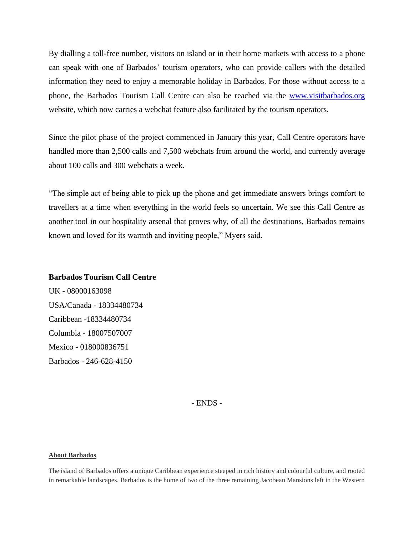By dialling a toll-free number, visitors on island or in their home markets with access to a phone can speak with one of Barbados' tourism operators, who can provide callers with the detailed information they need to enjoy a memorable holiday in Barbados. For those without access to a phone, the Barbados Tourism Call Centre can also be reached via the [www.visitbarbados.org](http://www.visitbarbados.org/) website, which now carries a webchat feature also facilitated by the tourism operators.

Since the pilot phase of the project commenced in January this year, Call Centre operators have handled more than 2,500 calls and 7,500 webchats from around the world, and currently average about 100 calls and 300 webchats a week.

"The simple act of being able to pick up the phone and get immediate answers brings comfort to travellers at a time when everything in the world feels so uncertain. We see this Call Centre as another tool in our hospitality arsenal that proves why, of all the destinations, Barbados remains known and loved for its warmth and inviting people," Myers said.

## **Barbados Tourism Call Centre**

UK - 08000163098 USA/Canada - 18334480734 Caribbean -18334480734 Columbia - 18007507007 Mexico - 018000836751 Barbados - 246-628-4150

- ENDS -

## **About Barbados**

The island of Barbados offers a unique Caribbean experience steeped in rich history and colourful culture, and rooted in remarkable landscapes. Barbados is the home of two of the three remaining Jacobean Mansions left in the Western